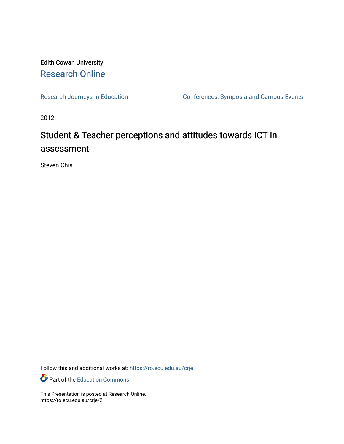#### Edith Cowan University [Research Online](https://ro.ecu.edu.au/)

[Research Journeys in Education](https://ro.ecu.edu.au/crje) Conferences, Symposia and Campus Events

2012

#### Student & Teacher perceptions and attitudes towards ICT in assessment

Steven Chia

Follow this and additional works at: [https://ro.ecu.edu.au/crje](https://ro.ecu.edu.au/crje?utm_source=ro.ecu.edu.au%2Fcrje%2F2&utm_medium=PDF&utm_campaign=PDFCoverPages) 

**P** Part of the [Education Commons](http://network.bepress.com/hgg/discipline/784?utm_source=ro.ecu.edu.au%2Fcrje%2F2&utm_medium=PDF&utm_campaign=PDFCoverPages)

This Presentation is posted at Research Online. https://ro.ecu.edu.au/crje/2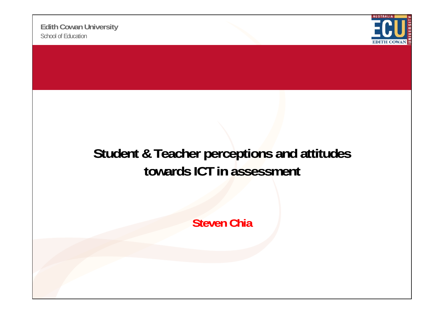

#### **Student & Teacher perceptions and attitudes towards ICT in assessment**

**Steven Chia**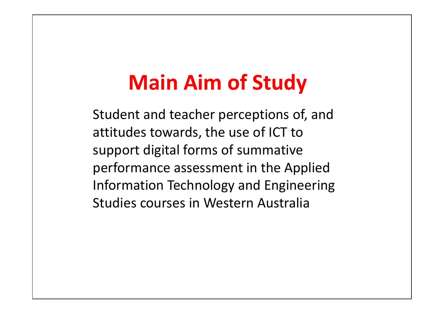## **Main Aim of Study**

Student and teacher perceptions of, and attitudes towards, the use of ICT to support digital forms of summative performance assessment in the Applied Information Technology and Engineering Studies courses in Western Australia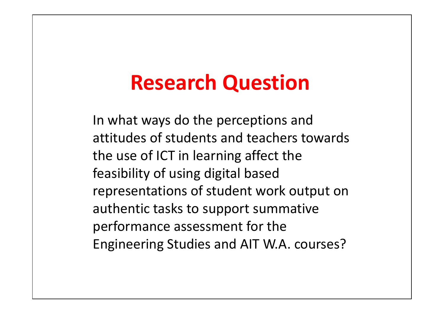### **Research Question**

In what ways do the perceptions and attitudes of students and teachers towards the use of ICT in learning affect the feasibility of using digital based representations of student work output on authentic tasks to support summative performance assessment for the Engineering Studies and AIT W.A. courses?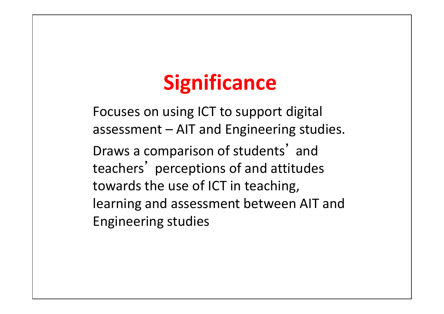# **Significance**

Focuses on using ICT to support digital assessment – AIT and Engineering studies. Draws a com parison of students' and teachers' perceptions of and attitudes towards the use of ICT in teaching, learning and assessment between AIT and Engineering studies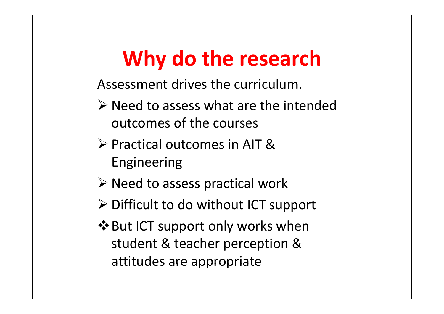# **Why do the research**

Assessment drives the curriculum.

- $\triangleright$  Need to assess what are the intended outcomes of the courses
- Practical outcomes in AIT & Engineering
- $\triangleright$  Need to assess practical work
- Difficult to do without ICT support
- ❖ But ICT support only works when student & teacher perception & attitudes are appropriate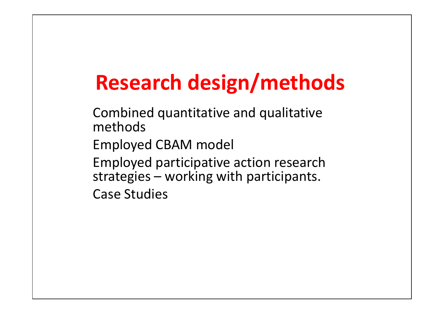# **Research design/methods**

Combined quantitative and qualitative methodsEmployed CBAM model Employed participative action research strategies – working with participants. Case Studies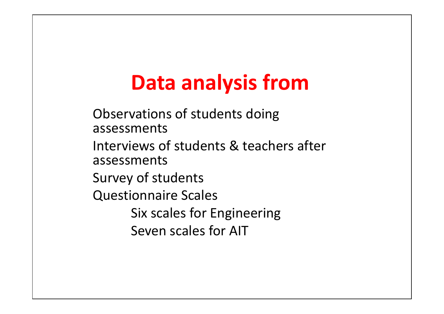## **Data analysis from**

Observations of students doing assessmentsInterviews of students & teachers after assessmentsSurvey of students Questionnaire Scales Six scales for Engineering Seven scales for AIT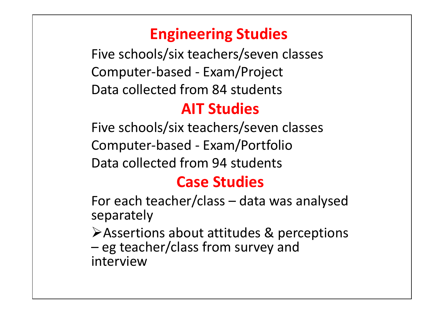### **Engineering Studies**

Five schools/six teachers/seven classes Computer‐based ‐ Exam/Project Data collected from 84 students

### **AIT Studies**

Five schools/six teachers/seven classes Computer‐based ‐ Exam/Portfolio Data collected from 94 students

### **Case Studies**

For each teacher/class – data was analysed separately

 $\triangleright$  Assertions about attitudes & perceptions – eg teacher/class from survey and interview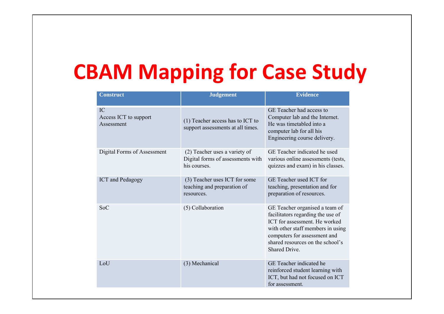## **CBAM Mapping for Case Study**

| <b>Construct</b>                          | <b>Judgement</b>                                                                   | <b>Evidence</b>                                                                                                                                                                                                                |  |
|-------------------------------------------|------------------------------------------------------------------------------------|--------------------------------------------------------------------------------------------------------------------------------------------------------------------------------------------------------------------------------|--|
| IC<br>Access ICT to support<br>Assessment | (1) Teacher access has to ICT to<br>support assessments at all times.              | GE Teacher had access to<br>Computer lab and the Internet.<br>He was timetabled into a<br>computer lab for all his<br>Engineering course delivery.                                                                             |  |
| Digital Forms of Assessment               | (2) Teacher uses a variety of<br>Digital forms of assessments with<br>his courses. | GE Teacher indicated he used<br>various online assessments (tests,<br>quizzes and exam) in his classes.                                                                                                                        |  |
| <b>ICT</b> and Pedagogy                   | (3) Teacher uses ICT for some<br>teaching and preparation of<br>resources.         | GE Teacher used ICT for<br>teaching, presentation and for<br>preparation of resources.                                                                                                                                         |  |
| <b>SoC</b>                                | (5) Collaboration                                                                  | GE Teacher organised a team of<br>facilitators regarding the use of<br>ICT for assessment. He worked<br>with other staff members in using<br>computers for assessment and<br>shared resources on the school's<br>Shared Drive. |  |
| LoU                                       | (3) Mechanical                                                                     | GE Teacher indicated he<br>reinforced student learning with<br>ICT, but had not focused on ICT<br>for assessment.                                                                                                              |  |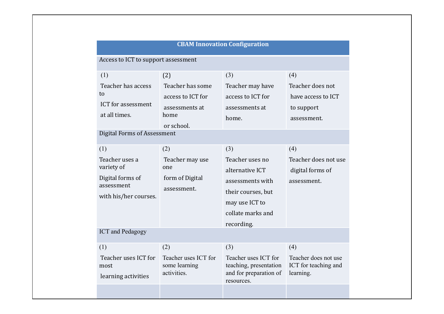| <b>CBAM Innovation Configuration</b>                |                                                      |                                                                                        |                                                           |  |  |
|-----------------------------------------------------|------------------------------------------------------|----------------------------------------------------------------------------------------|-----------------------------------------------------------|--|--|
| Access to ICT to support assessment                 |                                                      |                                                                                        |                                                           |  |  |
| (1)                                                 | (2)                                                  | (3)                                                                                    | (4)                                                       |  |  |
| Teacher has access                                  | Teacher has some                                     | Teacher may have                                                                       | Teacher does not                                          |  |  |
| to                                                  | access to ICT for                                    | access to ICT for                                                                      | have access to ICT                                        |  |  |
| <b>ICT</b> for assessment                           | assessments at                                       | assessments at                                                                         | to support                                                |  |  |
| at all times.                                       | home                                                 | home.                                                                                  | assessment.                                               |  |  |
| <b>Digital Forms of Assessment</b>                  | or school.                                           |                                                                                        |                                                           |  |  |
|                                                     |                                                      |                                                                                        |                                                           |  |  |
| (1)                                                 | (2)                                                  | (3)                                                                                    | (4)                                                       |  |  |
| Teacher uses a                                      | Teacher may use                                      | Teacher uses no                                                                        | Teacher does not use                                      |  |  |
| variety of                                          | one<br>form of Digital                               | alternative ICT                                                                        | digital forms of                                          |  |  |
| Digital forms of<br>assessment                      |                                                      | assessments with                                                                       | assessment.                                               |  |  |
| with his/her courses.                               | assessment.                                          | their courses, but                                                                     |                                                           |  |  |
|                                                     |                                                      | may use ICT to                                                                         |                                                           |  |  |
|                                                     |                                                      | collate marks and                                                                      |                                                           |  |  |
|                                                     |                                                      | recording.                                                                             |                                                           |  |  |
| <b>ICT</b> and Pedagogy                             |                                                      |                                                                                        |                                                           |  |  |
| (1)                                                 | (2)                                                  | (3)                                                                                    | (4)                                                       |  |  |
| Teacher uses ICT for<br>most<br>learning activities | Teacher uses ICT for<br>some learning<br>activities. | Teacher uses ICT for<br>teaching, presentation<br>and for preparation of<br>resources. | Teacher does not use<br>ICT for teaching and<br>learning. |  |  |
|                                                     |                                                      |                                                                                        |                                                           |  |  |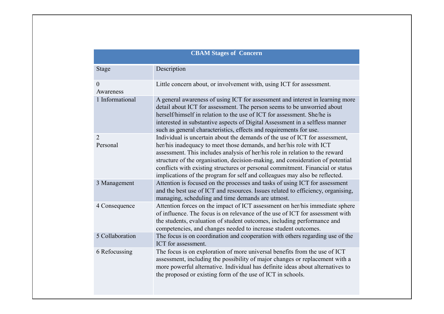#### **CBAM Stages of Concern**

| <b>Stage</b>                | Description                                                                                                                                                                                                                                                                                                                                                                                                                                                                          |
|-----------------------------|--------------------------------------------------------------------------------------------------------------------------------------------------------------------------------------------------------------------------------------------------------------------------------------------------------------------------------------------------------------------------------------------------------------------------------------------------------------------------------------|
| $\overline{0}$<br>Awareness | Little concern about, or involvement with, using ICT for assessment.                                                                                                                                                                                                                                                                                                                                                                                                                 |
| 1 Informational             | A general awareness of using ICT for assessment and interest in learning more<br>detail about ICT for assessment. The person seems to be unworried about<br>herself/himself in relation to the use of ICT for assessment. She/he is<br>interested in substantive aspects of Digital Assessment in a selfless manner<br>such as general characteristics, effects and requirements for use.                                                                                            |
| $\overline{2}$<br>Personal  | Individual is uncertain about the demands of the use of ICT for assessment,<br>her/his inadequacy to meet those demands, and her/his role with ICT<br>assessment. This includes analysis of her/his role in relation to the reward<br>structure of the organisation, decision-making, and consideration of potential<br>conflicts with existing structures or personal commitment. Financial or status<br>implications of the program for self and colleagues may also be reflected. |
| 3 Management                | Attention is focused on the processes and tasks of using ICT for assessment<br>and the best use of ICT and resources. Issues related to efficiency, organising,<br>managing, scheduling and time demands are utmost.                                                                                                                                                                                                                                                                 |
| 4 Consequence               | Attention forces on the impact of ICT assessment on her/his immediate sphere<br>of influence. The focus is on relevance of the use of ICT for assessment with<br>the students, evaluation of student outcomes, including performance and<br>competencies, and changes needed to increase student outcomes.                                                                                                                                                                           |
| 5 Collaboration             | The focus is on coordination and cooperation with others regarding use of the<br>ICT for assessment.                                                                                                                                                                                                                                                                                                                                                                                 |
| 6 Refocussing               | The focus is on exploration of more universal benefits from the use of ICT<br>assessment, including the possibility of major changes or replacement with a<br>more powerful alternative. Individual has definite ideas about alternatives to<br>the proposed or existing form of the use of ICT in schools.                                                                                                                                                                          |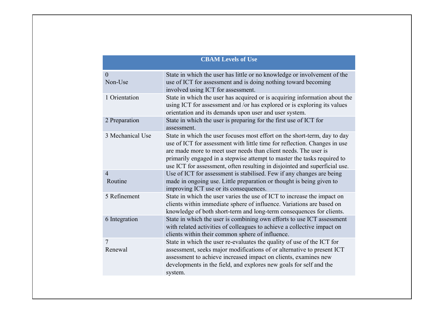| <b>CBAM Levels of Use</b> |                                                                                                                                                                                                                                                                                                                                                                                    |  |  |  |  |
|---------------------------|------------------------------------------------------------------------------------------------------------------------------------------------------------------------------------------------------------------------------------------------------------------------------------------------------------------------------------------------------------------------------------|--|--|--|--|
| $\theta$<br>Non-Use       | State in which the user has little or no knowledge or involvement of the<br>use of ICT for assessment and is doing nothing toward becoming<br>involved using ICT for assessment.                                                                                                                                                                                                   |  |  |  |  |
| 1 Orientation             | State in which the user has acquired or is acquiring information about the<br>using ICT for assessment and /or has explored or is exploring its values<br>orientation and its demands upon user and user system.                                                                                                                                                                   |  |  |  |  |
| 2 Preparation             | State in which the user is preparing for the first use of ICT for<br>assessment.                                                                                                                                                                                                                                                                                                   |  |  |  |  |
| 3 Mechanical Use          | State in which the user focuses most effort on the short-term, day to day<br>use of ICT for assessment with little time for reflection. Changes in use<br>are made more to meet user needs than client needs. The user is<br>primarily engaged in a stepwise attempt to master the tasks required to<br>use ICT for assessment, often resulting in disjointed and superficial use. |  |  |  |  |
| $\overline{4}$<br>Routine | Use of ICT for assessment is stabilised. Few if any changes are being<br>made in ongoing use. Little preparation or thought is being given to<br>improving ICT use or its consequences.                                                                                                                                                                                            |  |  |  |  |
| 5 Refinement              | State in which the user varies the use of ICT to increase the impact on<br>clients within immediate sphere of influence. Variations are based on<br>knowledge of both short-term and long-term consequences for clients.                                                                                                                                                           |  |  |  |  |
| 6 Integration             | State in which the user is combining own efforts to use ICT assessment<br>with related activities of colleagues to achieve a collective impact on<br>clients within their common sphere of influence.                                                                                                                                                                              |  |  |  |  |
| 7<br>Renewal              | State in which the user re-evaluates the quality of use of the ICT for<br>assessment, seeks major modifications of or alternative to present ICT<br>assessment to achieve increased impact on clients, examines new<br>developments in the field, and explores new goals for self and the<br>system.                                                                               |  |  |  |  |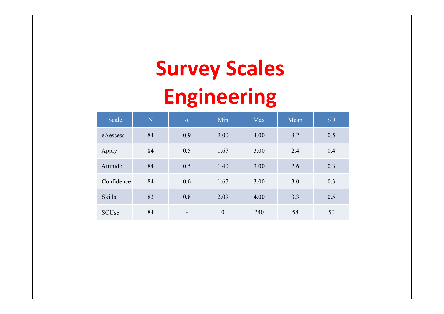# **Survey Scales Engineering**

| Scale         | N  | $\alpha$                 | Min              | <b>Max</b> | Mean | <b>SD</b> |
|---------------|----|--------------------------|------------------|------------|------|-----------|
| eAessess      | 84 | 0.9                      | 2.00             | 4.00       | 3.2  | 0.5       |
| Apply         | 84 | 0.5                      | 1.67             | 3.00       | 2.4  | 0.4       |
| Attitude      | 84 | 0.5                      | 1.40             | 3.00       | 2.6  | 0.3       |
| Confidence    | 84 | 0.6                      | 1.67             | 3.00       | 3.0  | 0.3       |
| <b>Skills</b> | 83 | 0.8                      | 2.09             | 4.00       | 3.3  | 0.5       |
| <b>SCUse</b>  | 84 | $\overline{\phantom{a}}$ | $\boldsymbol{0}$ | 240        | 58   | 50        |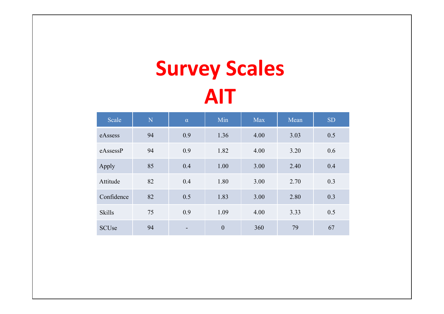# **Survey Scales AIT**

| Scale         | N  | $\alpha$ | Min              | <b>Max</b> | Mean | <b>SD</b> |
|---------------|----|----------|------------------|------------|------|-----------|
| eAssess       | 94 | 0.9      | 1.36             | 4.00       | 3.03 | 0.5       |
| eAssessP      | 94 | 0.9      | 1.82             | 4.00       | 3.20 | 0.6       |
| Apply         | 85 | 0.4      | 1.00             | 3.00       | 2.40 | 0.4       |
| Attitude      | 82 | 0.4      | 1.80             | 3.00       | 2.70 | 0.3       |
| Confidence    | 82 | 0.5      | 1.83             | 3.00       | 2.80 | 0.3       |
| <b>Skills</b> | 75 | 0.9      | 1.09             | 4.00       | 3.33 | 0.5       |
| <b>SCUse</b>  | 94 |          | $\boldsymbol{0}$ | 360        | 79   | 67        |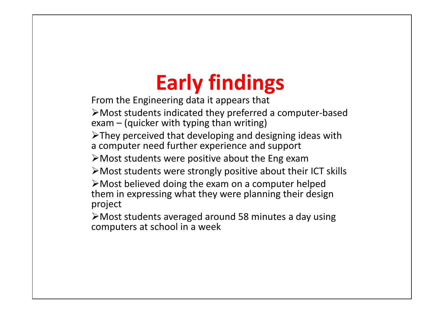# **Early findings**

From the Engineering data it appears that

Most students indicated they preferred a computer ‐based exam – (quicker with typing than writing)

 $\triangleright$ They perceived that developing and designing ideas with a computer need further experience and support

Most students were positive about the Eng exam

Most students were strongly positive about their ICT skills

Most believed doing the exam on a computer helped them in expressing what they were planning their design project

Most students averaged around 58 minutes a day using computers at school in a week